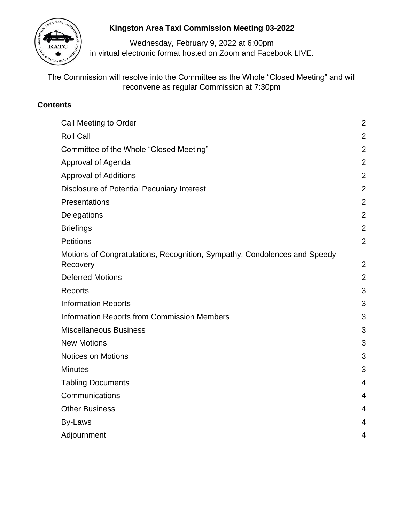

# **Kingston Area Taxi Commission Meeting 03-2022**

Wednesday, February 9, 2022 at 6:00pm in virtual electronic format hosted on Zoom and Facebook LIVE.

The Commission will resolve into the Committee as the Whole "Closed Meeting" and will reconvene as regular Commission at 7:30pm

# **Contents**

| Call Meeting to Order                                                                 | $\overline{2}$ |
|---------------------------------------------------------------------------------------|----------------|
| <b>Roll Call</b>                                                                      | $\overline{2}$ |
| Committee of the Whole "Closed Meeting"                                               | $\overline{2}$ |
| Approval of Agenda                                                                    | $\overline{2}$ |
| <b>Approval of Additions</b>                                                          | $\overline{2}$ |
| <b>Disclosure of Potential Pecuniary Interest</b>                                     | $\overline{2}$ |
| Presentations                                                                         | $\overline{2}$ |
| Delegations                                                                           | $\overline{2}$ |
| <b>Briefings</b>                                                                      | $\overline{2}$ |
| <b>Petitions</b>                                                                      | $\overline{2}$ |
| Motions of Congratulations, Recognition, Sympathy, Condolences and Speedy<br>Recovery | $\overline{2}$ |
| <b>Deferred Motions</b>                                                               | $\overline{2}$ |
| Reports                                                                               | 3              |
| <b>Information Reports</b>                                                            | 3              |
| <b>Information Reports from Commission Members</b>                                    | 3              |
| <b>Miscellaneous Business</b>                                                         | 3              |
| <b>New Motions</b>                                                                    | 3              |
| <b>Notices on Motions</b>                                                             | 3              |
| <b>Minutes</b>                                                                        | 3              |
| <b>Tabling Documents</b>                                                              | 4              |
| Communications                                                                        | 4              |
| <b>Other Business</b>                                                                 | 4              |
| By-Laws                                                                               | 4              |
| Adjournment                                                                           | 4              |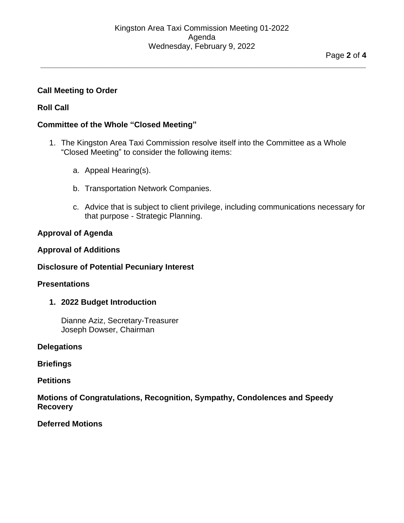**\_\_\_\_\_\_\_\_\_\_\_\_\_\_\_\_\_\_\_\_\_\_\_\_\_\_\_\_\_\_\_\_\_\_\_\_\_\_\_\_\_\_\_\_\_\_\_\_\_\_\_\_\_\_\_\_\_\_\_\_\_\_\_\_\_\_\_\_\_\_\_\_\_\_**

# <span id="page-1-0"></span>**Call Meeting to Order**

# <span id="page-1-1"></span>**Roll Call**

### <span id="page-1-2"></span>**Committee of the Whole "Closed Meeting"**

- 1. The Kingston Area Taxi Commission resolve itself into the Committee as a Whole "Closed Meeting" to consider the following items:
	- a. Appeal Hearing(s).
	- b. Transportation Network Companies.
	- c. Advice that is subject to client privilege, including communications necessary for that purpose - Strategic Planning.

### <span id="page-1-3"></span>**Approval of Agenda**

### <span id="page-1-4"></span>**Approval of Additions**

### <span id="page-1-5"></span>**Disclosure of Potential Pecuniary Interest**

### <span id="page-1-6"></span>**Presentations**

### **1. 2022 Budget Introduction**

Dianne Aziz, Secretary-Treasurer Joseph Dowser, Chairman

### <span id="page-1-7"></span>**Delegations**

<span id="page-1-8"></span>**Briefings**

### <span id="page-1-9"></span>**Petitions**

### <span id="page-1-10"></span>**Motions of Congratulations, Recognition, Sympathy, Condolences and Speedy Recovery**

<span id="page-1-11"></span>**Deferred Motions**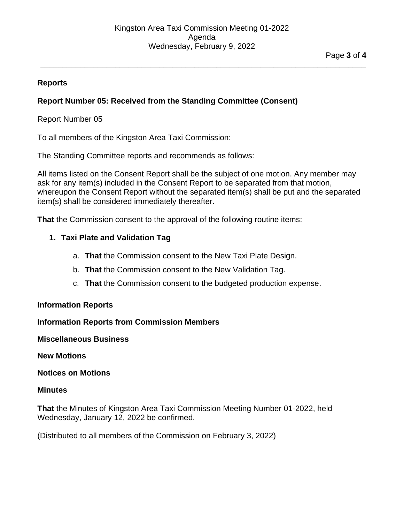**\_\_\_\_\_\_\_\_\_\_\_\_\_\_\_\_\_\_\_\_\_\_\_\_\_\_\_\_\_\_\_\_\_\_\_\_\_\_\_\_\_\_\_\_\_\_\_\_\_\_\_\_\_\_\_\_\_\_\_\_\_\_\_\_\_\_\_\_\_\_\_\_\_\_**

### <span id="page-2-0"></span>**Reports**

# **Report Number 05: Received from the Standing Committee (Consent)**

# Report Number 05

To all members of the Kingston Area Taxi Commission:

The Standing Committee reports and recommends as follows:

All items listed on the Consent Report shall be the subject of one motion. Any member may ask for any item(s) included in the Consent Report to be separated from that motion, whereupon the Consent Report without the separated item(s) shall be put and the separated item(s) shall be considered immediately thereafter.

**That** the Commission consent to the approval of the following routine items:

### **1. Taxi Plate and Validation Tag**

- a. **That** the Commission consent to the New Taxi Plate Design.
- b. **That** the Commission consent to the New Validation Tag.
- c. **That** the Commission consent to the budgeted production expense.

### <span id="page-2-1"></span>**Information Reports**

<span id="page-2-2"></span>**Information Reports from Commission Members**

### <span id="page-2-4"></span><span id="page-2-3"></span>**Miscellaneous Business**

### **New Motions**

### <span id="page-2-5"></span>**Notices on Motions**

### <span id="page-2-6"></span>**Minutes**

**That** the Minutes of Kingston Area Taxi Commission Meeting Number 01-2022, held Wednesday, January 12, 2022 be confirmed.

(Distributed to all members of the Commission on February 3, 2022)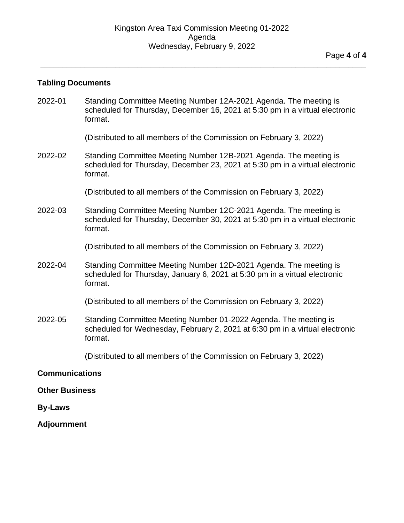**\_\_\_\_\_\_\_\_\_\_\_\_\_\_\_\_\_\_\_\_\_\_\_\_\_\_\_\_\_\_\_\_\_\_\_\_\_\_\_\_\_\_\_\_\_\_\_\_\_\_\_\_\_\_\_\_\_\_\_\_\_\_\_\_\_\_\_\_\_\_\_\_\_\_**

#### <span id="page-3-0"></span>**Tabling Documents**

2022-01 Standing Committee Meeting Number 12A-2021 Agenda. The meeting is scheduled for Thursday, December 16, 2021 at 5:30 pm in a virtual electronic format.

(Distributed to all members of the Commission on February 3, 2022)

<span id="page-3-1"></span>2022-02 Standing Committee Meeting Number 12B-2021 Agenda. The meeting is scheduled for Thursday, December 23, 2021 at 5:30 pm in a virtual electronic format.

(Distributed to all members of the Commission on February 3, 2022)

2022-03 Standing Committee Meeting Number 12C-2021 Agenda. The meeting is scheduled for Thursday, December 30, 2021 at 5:30 pm in a virtual electronic format.

(Distributed to all members of the Commission on February 3, 2022)

2022-04 Standing Committee Meeting Number 12D-2021 Agenda. The meeting is scheduled for Thursday, January 6, 2021 at 5:30 pm in a virtual electronic format.

(Distributed to all members of the Commission on February 3, 2022)

2022-05 Standing Committee Meeting Number 01-2022 Agenda. The meeting is scheduled for Wednesday, February 2, 2021 at 6:30 pm in a virtual electronic format.

(Distributed to all members of the Commission on February 3, 2022)

#### <span id="page-3-2"></span>**Communications**

<span id="page-3-3"></span>**Other Business**

<span id="page-3-4"></span>**By-Laws**

**Adjournment**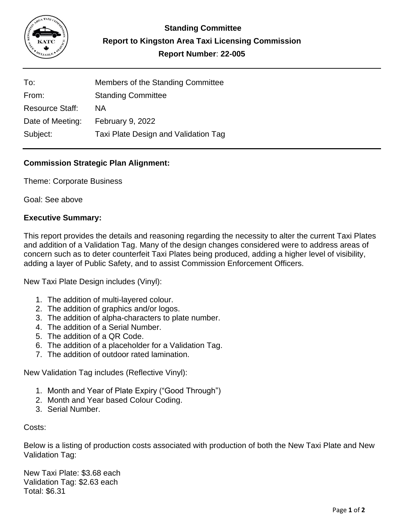

| To:                    | Members of the Standing Committee    |
|------------------------|--------------------------------------|
| From:                  | <b>Standing Committee</b>            |
| <b>Resource Staff:</b> | ΝA                                   |
| Date of Meeting:       | February 9, 2022                     |
| Subject:               | Taxi Plate Design and Validation Tag |

# **Commission Strategic Plan Alignment:**

Theme: Corporate Business

Goal: See above

# **Executive Summary:**

This report provides the details and reasoning regarding the necessity to alter the current Taxi Plates and addition of a Validation Tag. Many of the design changes considered were to address areas of concern such as to deter counterfeit Taxi Plates being produced, adding a higher level of visibility, adding a layer of Public Safety, and to assist Commission Enforcement Officers.

New Taxi Plate Design includes (Vinyl):

- 1. The addition of multi-layered colour.
- 2. The addition of graphics and/or logos.
- 3. The addition of alpha-characters to plate number.
- 4. The addition of a Serial Number.
- 5. The addition of a QR Code.
- 6. The addition of a placeholder for a Validation Tag.
- 7. The addition of outdoor rated lamination.

New Validation Tag includes (Reflective Vinyl):

- 1. Month and Year of Plate Expiry ("Good Through")
- 2. Month and Year based Colour Coding.
- 3. Serial Number.

Costs:

Below is a listing of production costs associated with production of both the New Taxi Plate and New Validation Tag:

New Taxi Plate: \$3.68 each Validation Tag: \$2.63 each Total: \$6.31